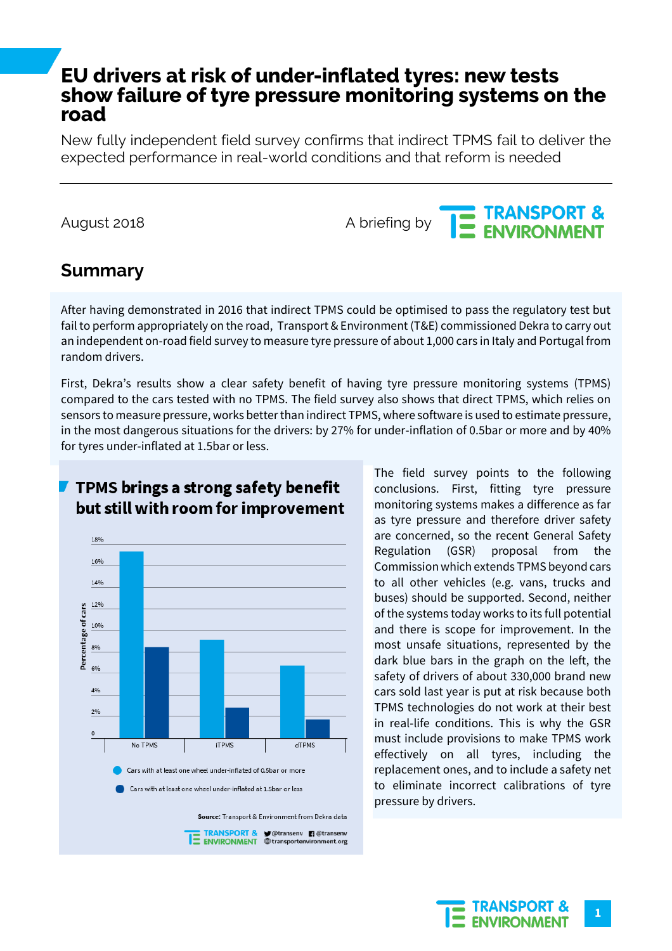# **EU drivers at risk of under-inflated tyres: new tests show failure of tyre pressure monitoring systems on the road**

New fully independent field survey confirms that indirect TPMS fail to deliver the expected performance in real-world conditions and that reform is needed

# August 2018 August 2018<br>A briefing by **THE ENVIRONMENT**

## **Summary**

After having demonstrated in 2016 that indirect TPMS could be optimised to pass the regulatory test but fail to perform appropriately on the road, Transport & Environment (T&E) commissioned Dekra to carry out an independent on-road field survey to measure tyre pressure of about 1,000 cars in Italy and Portugal from random drivers.

First, Dekra's results show a clear safety benefit of having tyre pressure monitoring systems (TPMS) compared to the cars tested with no TPMS. The field survey also shows that direct TPMS, which relies on sensors to measure pressure, works better than indirect TPMS, where software is used to estimate pressure, in the most dangerous situations for the drivers: by 27% for under-inflation of 0.5bar or more and by 40% for tyres under-inflated at 1.5bar or less.



## TPMS brings a strong safety benefit but still with room for improvement

The field survey points to the following conclusions. First, fitting tyre pressure monitoring systems makes a difference as far as tyre pressure and therefore driver safety are concerned, so the recent General Safety Regulation (GSR) proposal from the Commission which extends TPMS beyond cars to all other vehicles (e.g. vans, trucks and buses) should be supported. Second, neither of the systems today works to its full potential and there is scope for improvement. In the most unsafe situations, represented by the dark blue bars in the graph on the left, the safety of drivers of about 330,000 brand new cars sold last year is put at risk because both TPMS technologies do not work at their best in real-life conditions. This is why the GSR must include provisions to make TPMS work effectively on all tyres, including the replacement ones, and to include a safety net to eliminate incorrect calibrations of tyre pressure by drivers.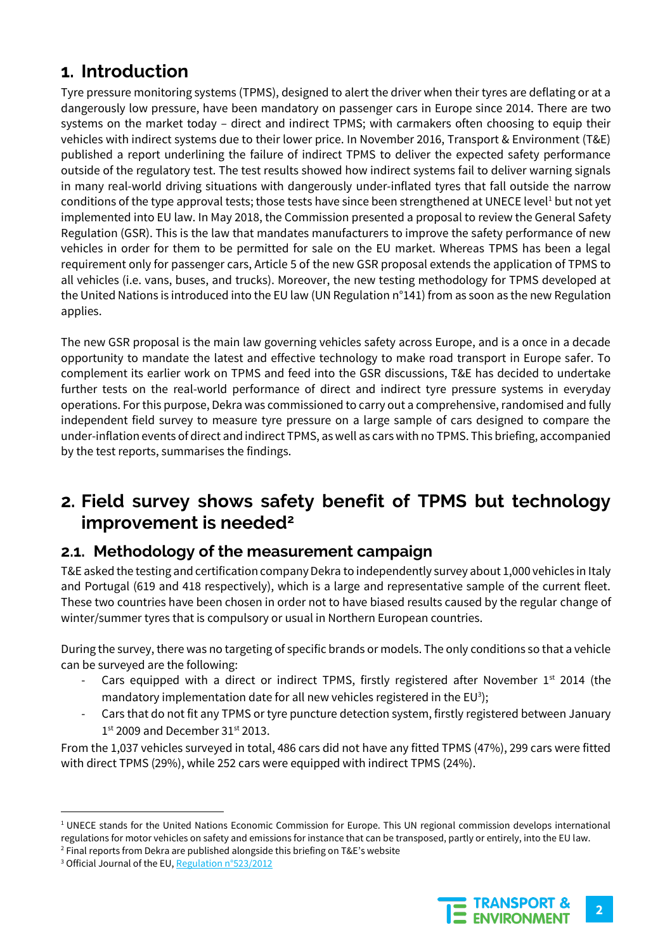## **1. Introduction**

Tyre pressure monitoring systems (TPMS), designed to alert the driver when their tyres are deflating or at a dangerously low pressure, have been mandatory on passenger cars in Europe since 2014. There are two systems on the market today – direct and indirect TPMS; with carmakers often choosing to equip their vehicles with indirect systems due to their lower price. In November 2016, Transport & Environment (T&E) published a report underlining the failure of indirect TPMS to deliver the expected safety performance outside of the regulatory test. The test results showed how indirect systems fail to deliver warning signals in many real-world driving situations with dangerously under-inflated tyres that fall outside the narrow conditions of the type approval tests; those tests have since been strengthened at UNECE level<sup>1</sup> but not yet implemented into EU law. In May 2018, the Commission presented a proposal to review the General Safety Regulation (GSR). This is the law that mandates manufacturers to improve the safety performance of new vehicles in order for them to be permitted for sale on the EU market. Whereas TPMS has been a legal requirement only for passenger cars, Article 5 of the new GSR proposal extends the application of TPMS to all vehicles (i.e. vans, buses, and trucks). Moreover, the new testing methodology for TPMS developed at the United Nations is introduced into the EU law (UN Regulation n°141) from as soon as the new Regulation applies.

The new GSR proposal is the main law governing vehicles safety across Europe, and is a once in a decade opportunity to mandate the latest and effective technology to make road transport in Europe safer. To complement its earlier work on TPMS and feed into the GSR discussions, T&E has decided to undertake further tests on the real-world performance of direct and indirect tyre pressure systems in everyday operations. For this purpose, Dekra was commissioned to carry out a comprehensive, randomised and fully independent field survey to measure tyre pressure on a large sample of cars designed to compare the under-inflation events of direct and indirect TPMS, as well as cars with no TPMS. This briefing, accompanied by the test reports, summarises the findings.

## **2. Field survey shows safety benefit of TPMS but technology improvement is needed<sup>2</sup>**

## **2.1. Methodology of the measurement campaign**

T&E asked the testing and certification company Dekra to independently survey about 1,000 vehicles in Italy and Portugal (619 and 418 respectively), which is a large and representative sample of the current fleet. These two countries have been chosen in order not to have biased results caused by the regular change of winter/summer tyres that is compulsory or usual in Northern European countries.

During the survey, there was no targeting of specific brands or models. The only conditions so that a vehicle can be surveyed are the following:

- Cars equipped with a direct or indirect TPMS, firstly registered after November  $1<sup>st</sup>$  2014 (the mandatory implementation date for all new vehicles registered in the EU<sup>3</sup>);
- Cars that do not fit any TPMS or tyre puncture detection system, firstly registered between January  $1<sup>st</sup>$  2009 and December 31 $<sup>st</sup>$  2013.</sup>

From the 1,037 vehicles surveyed in total, 486 cars did not have any fitted TPMS (47%), 299 cars were fitted with direct TPMS (29%), while 252 cars were equipped with indirect TPMS (24%).



<sup>&</sup>lt;sup>1</sup> UNECE stands for the United Nations Economic Commission for Europe. This UN regional commission develops international regulations for motor vehicles on safety and emissions for instance that can be transposed, partly or entirely, into the EU law.

<sup>2</sup> Final reports from Dekra are published alongside this briefing on T&E's website

<sup>&</sup>lt;sup>3</sup> Official Journal of the EU[, Regulation n°523/2012](http://eur-lex.europa.eu/legal-content/EN/TXT/?uri=celex%3A32012R0523)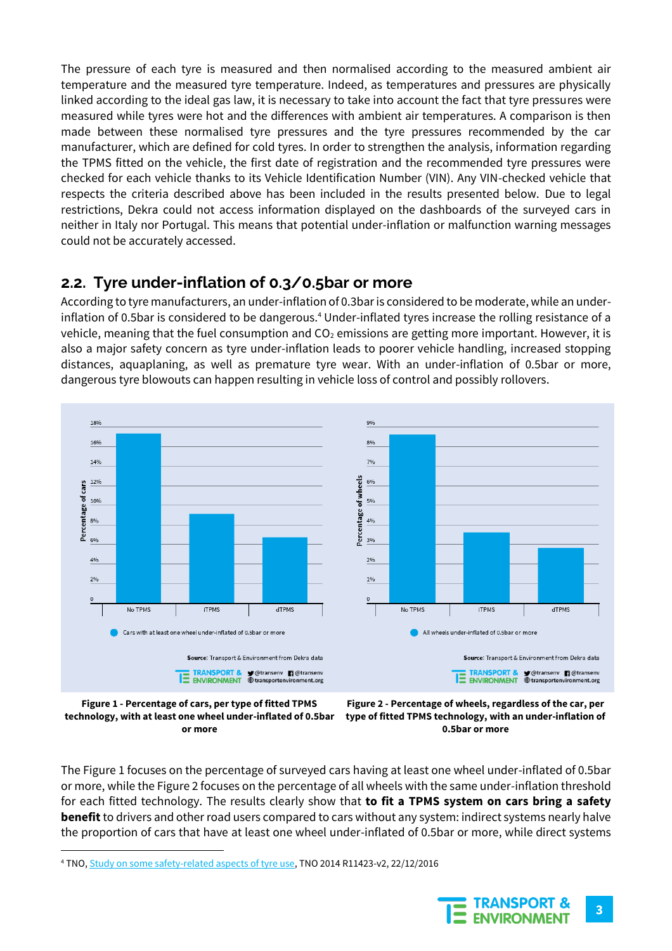The pressure of each tyre is measured and then normalised according to the measured ambient air temperature and the measured tyre temperature. Indeed, as temperatures and pressures are physically linked according to the ideal gas law, it is necessary to take into account the fact that tyre pressures were measured while tyres were hot and the differences with ambient air temperatures. A comparison is then made between these normalised tyre pressures and the tyre pressures recommended by the car manufacturer, which are defined for cold tyres. In order to strengthen the analysis, information regarding the TPMS fitted on the vehicle, the first date of registration and the recommended tyre pressures were checked for each vehicle thanks to its Vehicle Identification Number (VIN). Any VIN-checked vehicle that respects the criteria described above has been included in the results presented below. Due to legal restrictions, Dekra could not access information displayed on the dashboards of the surveyed cars in neither in Italy nor Portugal. This means that potential under-inflation or malfunction warning messages could not be accurately accessed.

## **2.2. Tyre under-inflation of 0.3/0.5bar or more**

According to tyre manufacturers, an under-inflation of 0.3bar is considered to be moderate, while an underinflation of 0.5bar is considered to be dangerous.<sup>4</sup> Under-inflated tyres increase the rolling resistance of a vehicle, meaning that the fuel consumption and  $CO<sub>2</sub>$  emissions are getting more important. However, it is also a major safety concern as tyre under-inflation leads to poorer vehicle handling, increased stopping distances, aquaplaning, as well as premature tyre wear. With an under-inflation of 0.5bar or more, dangerous tyre blowouts can happen resulting in vehicle loss of control and possibly rollovers.





 $\overline{a}$ 



The Figure 1 focuses on the percentage of surveyed cars having at least one wheel under-inflated of 0.5bar or more, while the Figure 2 focuses on the percentage of all wheels with the same under-inflation threshold for each fitted technology. The results clearly show that **to fit a TPMS system on cars bring a safety benefit** to drivers and other road users compared to cars without any system: indirect systems nearly halve the proportion of cars that have at least one wheel under-inflated of 0.5bar or more, while direct systems

<sup>4</sup> TNO[, Study on some safety-related aspects of tyre use,](https://ec.europa.eu/transport/road_safety/sites/roadsafety/files/pdf/vehicles/study_tyres_2014.pdf) TNO 2014 R11423-v2, 22/12/2016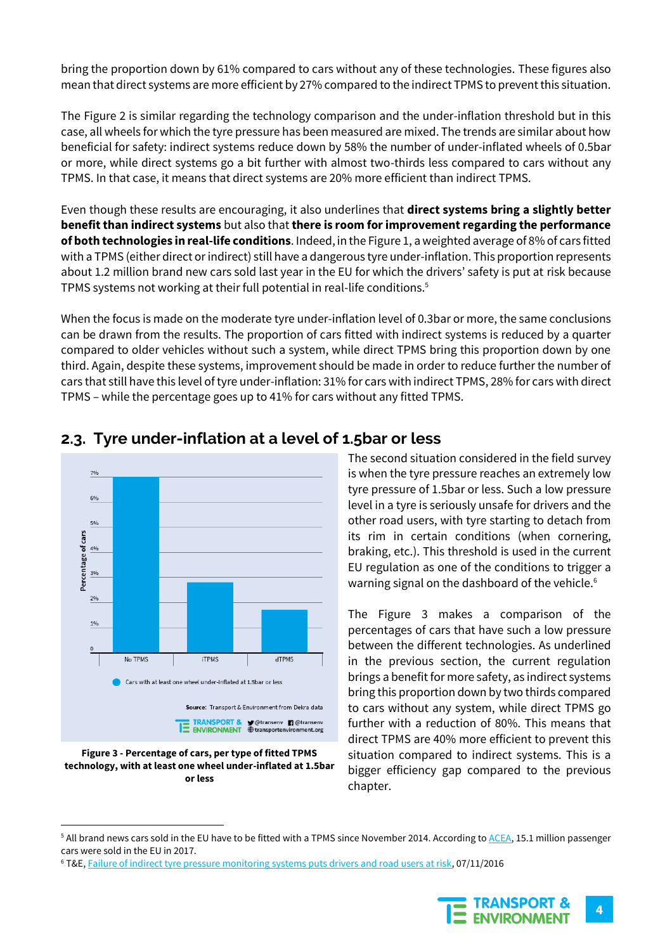bring the proportion down by 61% compared to cars without any of these technologies. These figures also mean that direct systems are more efficient by 27% compared to the indirect TPMS to prevent this situation.

The Figure 2 is similar regarding the technology comparison and the under-inflation threshold but in this case, all wheels for which the tyre pressure has been measured are mixed. The trends are similar about how beneficial for safety: indirect systems reduce down by 58% the number of under-inflated wheels of 0.5bar or more, while direct systems go a bit further with almost two-thirds less compared to cars without any TPMS. In that case, it means that direct systems are 20% more efficient than indirect TPMS.

Even though these results are encouraging, it also underlines that **direct systems bring a slightly better benefit than indirect systems** but also that **there is room for improvement regarding the performance of both technologies in real-life conditions**. Indeed, in the Figure 1, a weighted average of 8% of cars fitted with a TPMS (either direct orindirect) still have a dangerous tyre under-inflation. This proportion represents about 1.2 million brand new cars sold last year in the EU for which the drivers' safety is put at risk because TPMS systems not working at their full potential in real-life conditions.<sup>5</sup>

When the focus is made on the moderate tyre under-inflation level of 0.3bar or more, the same conclusions can be drawn from the results. The proportion of cars fitted with indirect systems is reduced by a quarter compared to older vehicles without such a system, while direct TPMS bring this proportion down by one third. Again, despite these systems, improvement should be made in order to reduce further the number of cars that still have this level of tyre under-inflation: 31% for cars with indirect TPMS, 28% for cars with direct TPMS – while the percentage goes up to 41% for cars without any fitted TPMS.



#### **2.3. Tyre under-inflation at a level of 1.5bar or less**

The second situation considered in the field survey is when the tyre pressure reaches an extremely low tyre pressure of 1.5bar or less. Such a low pressure level in a tyre is seriously unsafe for drivers and the other road users, with tyre starting to detach from its rim in certain conditions (when cornering, braking, etc.). This threshold is used in the current EU regulation as one of the conditions to trigger a warning signal on the dashboard of the vehicle.<sup>6</sup>

The Figure 3 makes a comparison of the percentages of cars that have such a low pressure between the different technologies. As underlined in the previous section, the current regulation brings a benefit for more safety, as indirect systems bring this proportion down by two thirds compared to cars without any system, while direct TPMS go further with a reduction of 80%. This means that direct TPMS are 40% more efficient to prevent this situation compared to indirect systems. This is a bigger efficiency gap compared to the previous chapter.

<sup>&</sup>lt;sup>6</sup> T&E[, Failure of indirect tyre pressure monitoring systems puts drivers and road users at risk,](https://www.transportenvironment.org/publications/failure-indirect-tyre-pressure-monitoring-systems-puts-drivers-and-road-users-risk) 07/11/2016



**Figure 3 - Percentage of cars, per type of fitted TPMS technology, with at least one wheel under-inflated at 1.5bar or less**

<sup>&</sup>lt;sup>5</sup> All brand news cars sold in the EU have to be fitted with a TPMS since November 2014. According to **ACEA**, 15.1 million passenger cars were sold in the EU in 2017.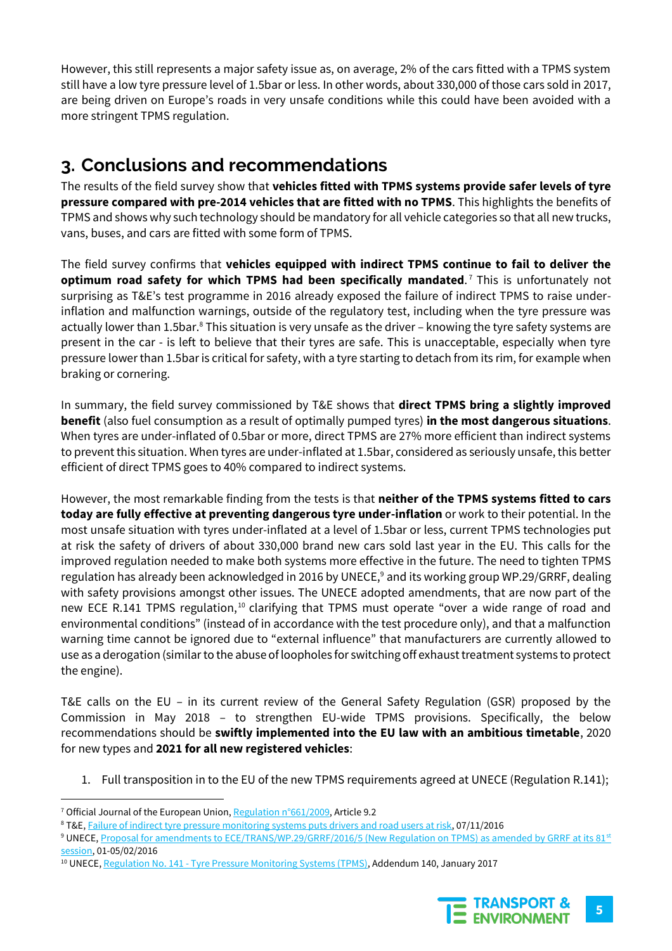However, this still represents a major safety issue as, on average, 2% of the cars fitted with a TPMS system still have a low tyre pressure level of 1.5bar or less. In other words, about 330,000 of those cars sold in 2017, are being driven on Europe's roads in very unsafe conditions while this could have been avoided with a more stringent TPMS regulation.

# **3. Conclusions and recommendations**

The results of the field survey show that **vehicles fitted with TPMS systems provide safer levels of tyre pressure compared with pre-2014 vehicles that are fitted with no TPMS**. This highlights the benefits of TPMS and shows why such technology should be mandatory for all vehicle categories so that all new trucks, vans, buses, and cars are fitted with some form of TPMS.

The field survey confirms that **vehicles equipped with indirect TPMS continue to fail to deliver the optimum road safety for which TPMS had been specifically mandated**. <sup>7</sup> This is unfortunately not surprising as T&E's test programme in 2016 already exposed the failure of indirect TPMS to raise underinflation and malfunction warnings, outside of the regulatory test, including when the tyre pressure was actually lower than 1.5bar.<sup>8</sup> This situation is very unsafe as the driver – knowing the tyre safety systems are present in the car - is left to believe that their tyres are safe. This is unacceptable, especially when tyre pressure lower than 1.5bar is critical for safety, with a tyre starting to detach from its rim, for example when braking or cornering.

In summary, the field survey commissioned by T&E shows that **direct TPMS bring a slightly improved benefit** (also fuel consumption as a result of optimally pumped tyres) **in the most dangerous situations**. When tyres are under-inflated of 0.5bar or more, direct TPMS are 27% more efficient than indirect systems to prevent this situation. When tyres are under-inflated at 1.5bar, considered as seriously unsafe, this better efficient of direct TPMS goes to 40% compared to indirect systems.

However, the most remarkable finding from the tests is that **neither of the TPMS systems fitted to cars today are fully effective at preventing dangerous tyre under-inflation** or work to their potential. In the most unsafe situation with tyres under-inflated at a level of 1.5bar or less, current TPMS technologies put at risk the safety of drivers of about 330,000 brand new cars sold last year in the EU. This calls for the improved regulation needed to make both systems more effective in the future. The need to tighten TPMS regulation has already been acknowledged in 2016 by UNECE,<sup>9</sup> and its working group WP.29/GRRF, dealing with safety provisions amongst other issues. The UNECE adopted amendments, that are now part of the new ECE R.141 TPMS regulation,<sup>10</sup> clarifying that TPMS must operate "over a wide range of road and environmental conditions" (instead of in accordance with the test procedure only), and that a malfunction warning time cannot be ignored due to "external influence" that manufacturers are currently allowed to use as a derogation (similar to the abuse of loopholes for switching off exhaust treatment systems to protect the engine).

T&E calls on the EU – in its current review of the General Safety Regulation (GSR) proposed by the Commission in May 2018 – to strengthen EU-wide TPMS provisions. Specifically, the below recommendations should be **swiftly implemented into the EU law with an ambitious timetable**, 2020 for new types and **2021 for all new registered vehicles**:

1. Full transposition in to the EU of the new TPMS requirements agreed at UNECE (Regulation R.141);

<sup>&</sup>lt;sup>10</sup> UNECE, Regulation No. 141 - [Tyre Pressure Monitoring Systems \(TPMS\),](https://www.unece.org/trans/main/wp29/wp29regs141-160.html) Addendum 140, January 2017



<sup>&</sup>lt;sup>7</sup> Official Journal of the European Union[, Regulation n°661/2009,](https://eur-lex.europa.eu/legal-content/EN/ALL/?uri=celex:32009R0661) Article 9.2

<sup>8</sup> T&E[, Failure of indirect tyre pressure monitoring systems puts drivers and road users at risk,](https://www.transportenvironment.org/publications/failure-indirect-tyre-pressure-monitoring-systems-puts-drivers-and-road-users-risk) 07/11/2016

<sup>&</sup>lt;sup>9</sup> UNECE[, Proposal for amendments to ECE/TRANS/WP.29/GRRF/2016/5 \(New Regulation on TPMS\) as amended by GRRF at its 81](https://www.unece.org/fileadmin/DAM/trans/doc/2016/wp29grrf/GRRF-81-17r1e.pdf)<sup>[st](https://www.unece.org/fileadmin/DAM/trans/doc/2016/wp29grrf/GRRF-81-17r1e.pdf)</sup> [session,](https://www.unece.org/fileadmin/DAM/trans/doc/2016/wp29grrf/GRRF-81-17r1e.pdf) 01-05/02/2016